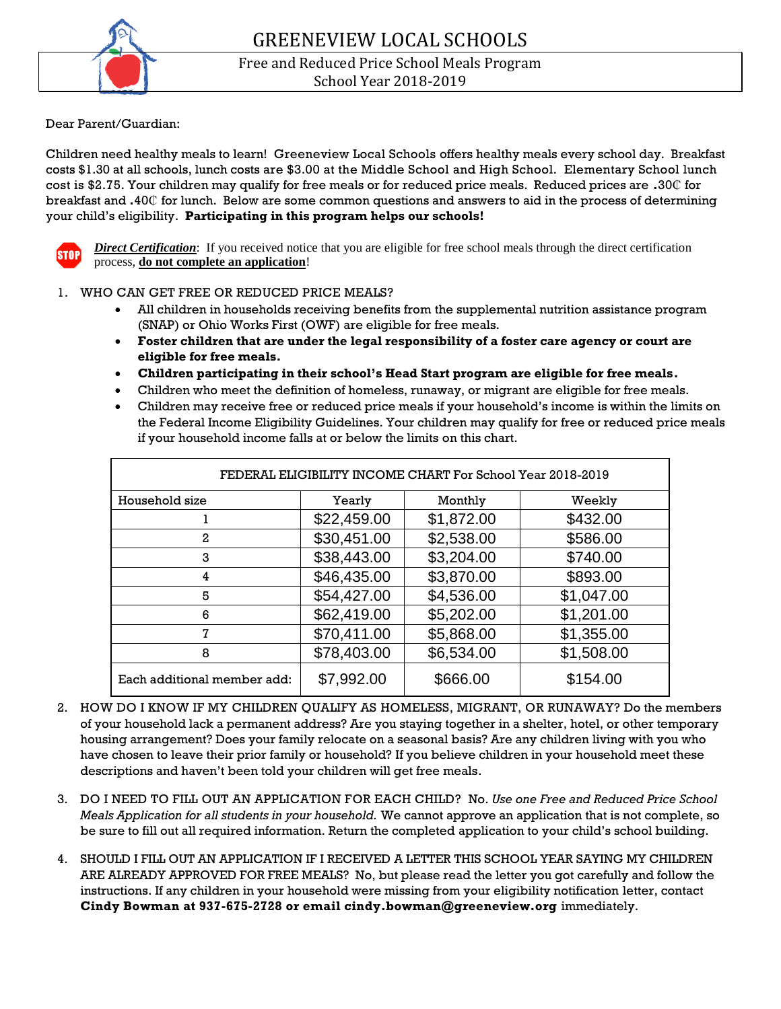

Free and Reduced Price School Meals Program School Year 2018-2019

#### Dear Parent/Guardian:

Children need healthy meals to learn! Greeneview Local Schools offers healthy meals every school day. Breakfast costs \$1.30 at all schools, lunch costs are \$3.00 at the Middle School and High School. Elementary School lunch cost is \$2.75. Your children may qualify for free meals or for reduced price meals. Reduced prices are **.**30₵ for breakfast and **.**40₵ for lunch. Below are some common questions and answers to aid in the process of determining your child's eligibility. **Participating in this program helps our schools!**



*Direct Certification*: If you received notice that you are eligible for free school meals through the direct certification process, **do not complete an application**!

#### 1. WHO CAN GET FREE OR REDUCED PRICE MEALS?

- All children in households receiving benefits from the supplemental nutrition assistance program (SNAP) or Ohio Works First (OWF) are eligible for free meals.
- **Foster children that are under the legal responsibility of a foster care agency or court are eligible for free meals.**
- **Children participating in their school's Head Start program are eligible for free meals.**
- Children who meet the definition of homeless, runaway, or migrant are eligible for free meals.
- Children may receive free or reduced price meals if your household's income is within the limits on the Federal Income Eligibility Guidelines. Your children may qualify for free or reduced price meals if your household income falls at or below the limits on this chart.

| Household size              | Yearly      | Monthly                | Weekly     |  |  |  |  |  |
|-----------------------------|-------------|------------------------|------------|--|--|--|--|--|
|                             | \$22,459.00 | \$1,872.00<br>\$432.00 |            |  |  |  |  |  |
| 2                           | \$30,451.00 | \$2,538.00             | \$586.00   |  |  |  |  |  |
| 3                           | \$38,443.00 | \$3,204.00             | \$740.00   |  |  |  |  |  |
| 4                           | \$46,435.00 | \$3,870.00             | \$893.00   |  |  |  |  |  |
| 5                           | \$54,427.00 | \$4,536.00             | \$1,047.00 |  |  |  |  |  |
| 6                           | \$62,419.00 | \$5,202.00             | \$1,201.00 |  |  |  |  |  |
| 7                           | \$70,411.00 | \$5,868.00             | \$1,355.00 |  |  |  |  |  |
| 8                           | \$78,403.00 | \$6,534.00             | \$1,508.00 |  |  |  |  |  |
| Each additional member add: | \$7,992.00  | \$666.00               | \$154.00   |  |  |  |  |  |

- 2. HOW DO I KNOW IF MY CHILDREN QUALIFY AS HOMELESS, MIGRANT, OR RUNAWAY? Do the members of your household lack a permanent address? Are you staying together in a shelter, hotel, or other temporary housing arrangement? Does your family relocate on a seasonal basis? Are any children living with you who have chosen to leave their prior family or household? If you believe children in your household meet these descriptions and haven't been told your children will get free meals.
- 3. DO I NEED TO FILL OUT AN APPLICATION FOR EACH CHILD? No. *Use one Free and Reduced Price School Meals Application for all students in your household.* We cannot approve an application that is not complete, so be sure to fill out all required information. Return the completed application to your child's school building.
- 4. SHOULD I FILL OUT AN APPLICATION IF I RECEIVED A LETTER THIS SCHOOL YEAR SAYING MY CHILDREN ARE ALREADY APPROVED FOR FREE MEALS? No, but please read the letter you got carefully and follow the instructions. If any children in your household were missing from your eligibility notification letter, contact **Cindy Bowman at 937-675-2728 or email cindy.bowman@greeneview.org** immediately.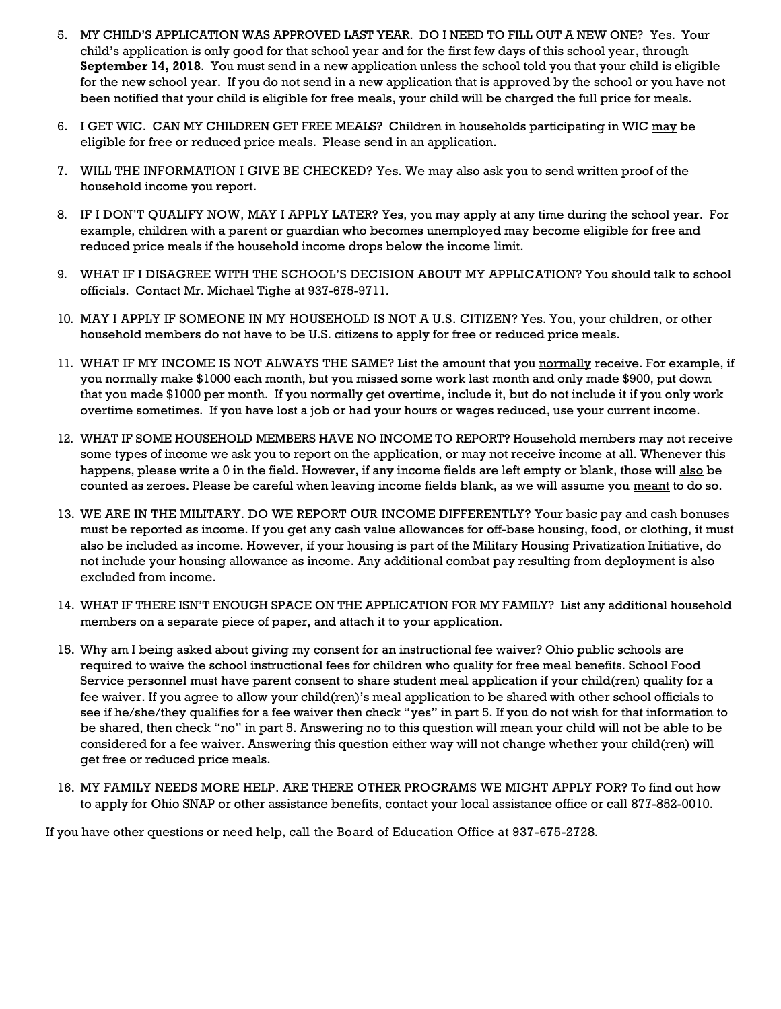- 5. MY CHILD'S APPLICATION WAS APPROVED LAST YEAR. DO I NEED TO FILL OUT A NEW ONE? Yes. Your child's application is only good for that school year and for the first few days of this school year, through **September 14, 2018**. You must send in a new application unless the school told you that your child is eligible for the new school year. If you do not send in a new application that is approved by the school or you have not been notified that your child is eligible for free meals, your child will be charged the full price for meals.
- 6. I GET WIC. CAN MY CHILDREN GET FREE MEALS? Children in households participating in WIC may be eligible for free or reduced price meals. Please send in an application.
- 7. WILL THE INFORMATION I GIVE BE CHECKED? Yes. We may also ask you to send written proof of the household income you report.
- 8. IF I DON'T QUALIFY NOW, MAY I APPLY LATER? Yes, you may apply at any time during the school year. For example, children with a parent or guardian who becomes unemployed may become eligible for free and reduced price meals if the household income drops below the income limit.
- 9. WHAT IF I DISAGREE WITH THE SCHOOL'S DECISION ABOUT MY APPLICATION? You should talk to school officials. Contact Mr. Michael Tighe at 937-675-9711*.*
- 10. MAY I APPLY IF SOMEONE IN MY HOUSEHOLD IS NOT A U.S. CITIZEN? Yes. You, your children, or other household members do not have to be U.S. citizens to apply for free or reduced price meals.
- 11. WHAT IF MY INCOME IS NOT ALWAYS THE SAME? List the amount that you normally receive. For example, if you normally make \$1000 each month, but you missed some work last month and only made \$900, put down that you made \$1000 per month. If you normally get overtime, include it, but do not include it if you only work overtime sometimes. If you have lost a job or had your hours or wages reduced, use your current income.
- 12. WHAT IF SOME HOUSEHOLD MEMBERS HAVE NO INCOME TO REPORT? Household members may not receive some types of income we ask you to report on the application, or may not receive income at all. Whenever this happens, please write a 0 in the field. However, if any income fields are left empty or blank, those will also be counted as zeroes. Please be careful when leaving income fields blank, as we will assume you meant to do so.
- 13. WE ARE IN THE MILITARY. DO WE REPORT OUR INCOME DIFFERENTLY? Your basic pay and cash bonuses must be reported as income. If you get any cash value allowances for off-base housing, food, or clothing, it must also be included as income. However, if your housing is part of the Military Housing Privatization Initiative, do not include your housing allowance as income. Any additional combat pay resulting from deployment is also excluded from income.
- 14. WHAT IF THERE ISN'T ENOUGH SPACE ON THE APPLICATION FOR MY FAMILY? List any additional household members on a separate piece of paper, and attach it to your application.
- 15. Why am I being asked about giving my consent for an instructional fee waiver? Ohio public schools are required to waive the school instructional fees for children who quality for free meal benefits. School Food Service personnel must have parent consent to share student meal application if your child(ren) quality for a fee waiver. If you agree to allow your child(ren)'s meal application to be shared with other school officials to see if he/she/they qualifies for a fee waiver then check "yes" in part 5. If you do not wish for that information to be shared, then check "no" in part 5. Answering no to this question will mean your child will not be able to be considered for a fee waiver. Answering this question either way will not change whether your child(ren) will get free or reduced price meals.
- 16. MY FAMILY NEEDS MORE HELP. ARE THERE OTHER PROGRAMS WE MIGHT APPLY FOR? To find out how to apply for Ohio SNAP or other assistance benefits, contact your local assistance office or call 877-852-0010.

If you have other questions or need help, call the Board of Education Office at 937-675-2728*.*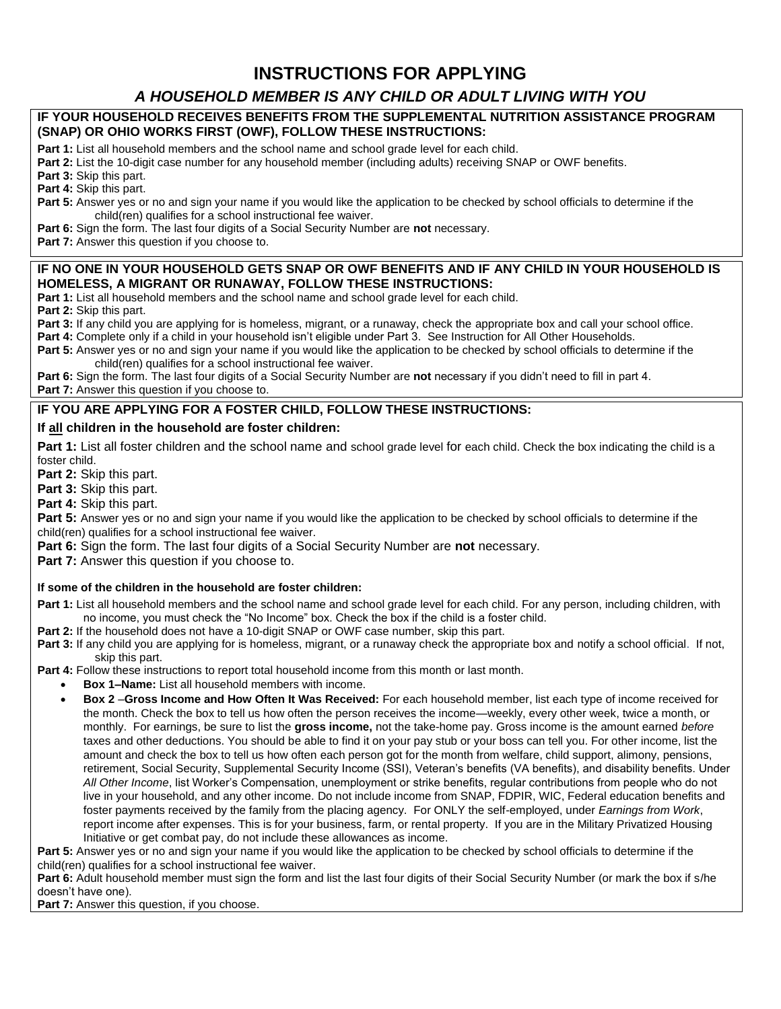# **INSTRUCTIONS FOR APPLYING**

## *A HOUSEHOLD MEMBER IS ANY CHILD OR ADULT LIVING WITH YOU*

#### **IF YOUR HOUSEHOLD RECEIVES BENEFITS FROM THE SUPPLEMENTAL NUTRITION ASSISTANCE PROGRAM (SNAP) OR OHIO WORKS FIRST (OWF), FOLLOW THESE INSTRUCTIONS:**

**Part 1:** List all household members and the school name and school grade level for each child.

**Part 2:** List the 10-digit case number for any household member (including adults) receiving SNAP or OWF benefits.

**Part 3:** Skip this part.

**Part 4:** Skip this part.

**Part 5:** Answer yes or no and sign your name if you would like the application to be checked by school officials to determine if the child(ren) qualifies for a school instructional fee waiver.

**Part 6:** Sign the form. The last four digits of a Social Security Number are **not** necessary.

**Part 7:** Answer this question if you choose to.

#### **IF NO ONE IN YOUR HOUSEHOLD GETS SNAP OR OWF BENEFITS AND IF ANY CHILD IN YOUR HOUSEHOLD IS HOMELESS, A MIGRANT OR RUNAWAY, FOLLOW THESE INSTRUCTIONS:**

**Part 1:** List all household members and the school name and school grade level for each child.

**Part 2:** Skip this part.

**Part 3:** If any child you are applying for is homeless, migrant, or a runaway, check the appropriate box and call your school office.

Part 4: Complete only if a child in your household isn't eligible under Part 3. See Instruction for All Other Households.

Part 5: Answer yes or no and sign your name if you would like the application to be checked by school officials to determine if the child(ren) qualifies for a school instructional fee waiver.

**Part 6:** Sign the form. The last four digits of a Social Security Number are **not** necessary if you didn't need to fill in part 4. **Part 7:** Answer this question if you choose to.

### **IF YOU ARE APPLYING FOR A FOSTER CHILD, FOLLOW THESE INSTRUCTIONS:**

#### **If all children in the household are foster children:**

**Part 1:** List all foster children and the school name and school grade level for each child. Check the box indicating the child is a foster child.

**Part 2:** Skip this part.

**Part 3:** Skip this part.

**Part 4:** Skip this part.

**Part 5:** Answer yes or no and sign your name if you would like the application to be checked by school officials to determine if the child(ren) qualifies for a school instructional fee waiver.

**Part 6:** Sign the form. The last four digits of a Social Security Number are **not** necessary.

**Part 7:** Answer this question if you choose to.

**If some of the children in the household are foster children:**

**Part 1:** List all household members and the school name and school grade level for each child. For any person, including children, with no income, you must check the "No Income" box. Check the box if the child is a foster child.

**Part 2:** If the household does not have a 10-digit SNAP or OWF case number, skip this part.

**Part 3:** If any child you are applying for is homeless, migrant, or a runaway check the appropriate box and notify a school official. If not, skip this part.

**Part 4:** Follow these instructions to report total household income from this month or last month.

- **Box 1–Name:** List all household members with income.
	- **Box 2** –**Gross Income and How Often It Was Received:** For each household member, list each type of income received for the month. Check the box to tell us how often the person receives the income—weekly, every other week, twice a month, or monthly. For earnings, be sure to list the **gross income,** not the take-home pay. Gross income is the amount earned *before* taxes and other deductions. You should be able to find it on your pay stub or your boss can tell you. For other income, list the amount and check the box to tell us how often each person got for the month from welfare, child support, alimony, pensions, retirement, Social Security, Supplemental Security Income (SSI), Veteran's benefits (VA benefits), and disability benefits. Under *All Other Income*, list Worker's Compensation, unemployment or strike benefits, regular contributions from people who do not live in your household, and any other income. Do not include income from SNAP, FDPIR, WIC, Federal education benefits and foster payments received by the family from the placing agency. For ONLY the self-employed, under *Earnings from Work*, report income after expenses. This is for your business, farm, or rental property. If you are in the Military Privatized Housing Initiative or get combat pay, do not include these allowances as income.

**Part 5:** Answer yes or no and sign your name if you would like the application to be checked by school officials to determine if the child(ren) qualifies for a school instructional fee waiver.

Part 6: Adult household member must sign the form and list the last four digits of their Social Security Number (or mark the box if s/he doesn't have one).

**Part 7:** Answer this question, if you choose.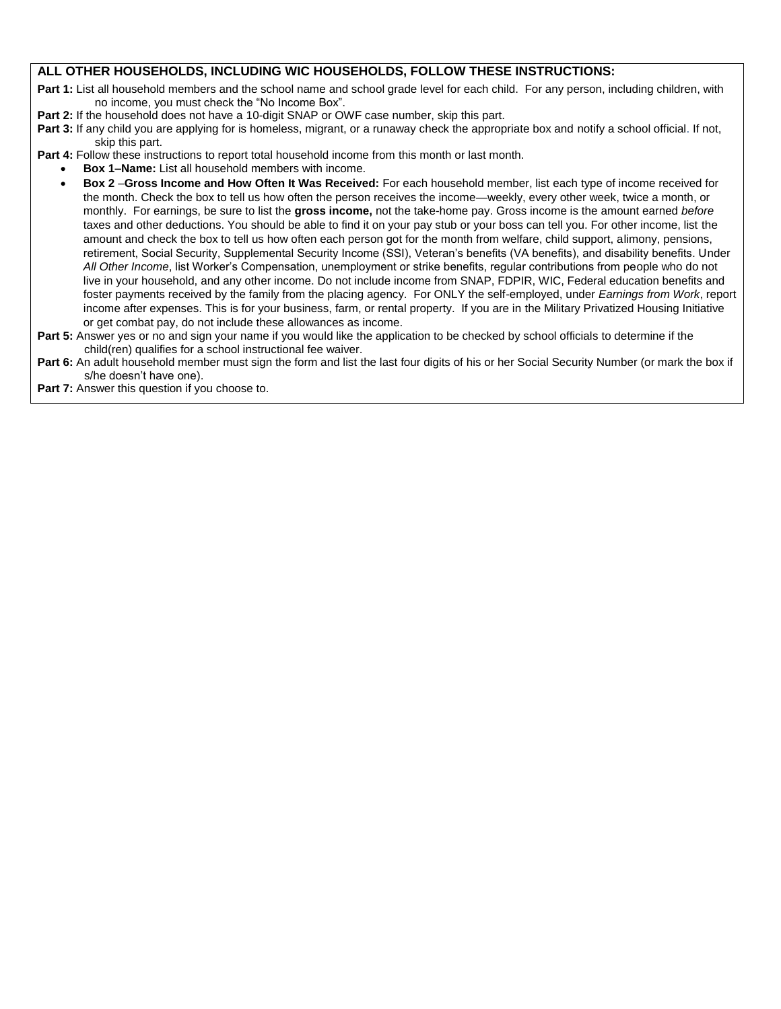### **ALL OTHER HOUSEHOLDS, INCLUDING WIC HOUSEHOLDS, FOLLOW THESE INSTRUCTIONS:**

Part 1: List all household members and the school name and school grade level for each child. For any person, including children, with no income, you must check the "No Income Box".

- **Part 2:** If the household does not have a 10-digit SNAP or OWF case number, skip this part.
- **Part 3:** If any child you are applying for is homeless, migrant, or a runaway check the appropriate box and notify a school official. If not, skip this part.

Part 4: Follow these instructions to report total household income from this month or last month.

- **Box 1–Name:** List all household members with income.
- **Box 2** –**Gross Income and How Often It Was Received:** For each household member, list each type of income received for the month. Check the box to tell us how often the person receives the income—weekly, every other week, twice a month, or monthly. For earnings, be sure to list the **gross income,** not the take-home pay. Gross income is the amount earned *before* taxes and other deductions. You should be able to find it on your pay stub or your boss can tell you. For other income, list the amount and check the box to tell us how often each person got for the month from welfare, child support, alimony, pensions, retirement, Social Security, Supplemental Security Income (SSI), Veteran's benefits (VA benefits), and disability benefits. Under *All Other Income*, list Worker's Compensation, unemployment or strike benefits, regular contributions from people who do not live in your household, and any other income. Do not include income from SNAP, FDPIR, WIC, Federal education benefits and foster payments received by the family from the placing agency. For ONLY the self-employed, under *Earnings from Work*, report income after expenses. This is for your business, farm, or rental property. If you are in the Military Privatized Housing Initiative or get combat pay, do not include these allowances as income.
- Part 5: Answer yes or no and sign your name if you would like the application to be checked by school officials to determine if the child(ren) qualifies for a school instructional fee waiver.
- Part 6: An adult household member must sign the form and list the last four digits of his or her Social Security Number (or mark the box if s/he doesn't have one).

**Part 7:** Answer this question if you choose to.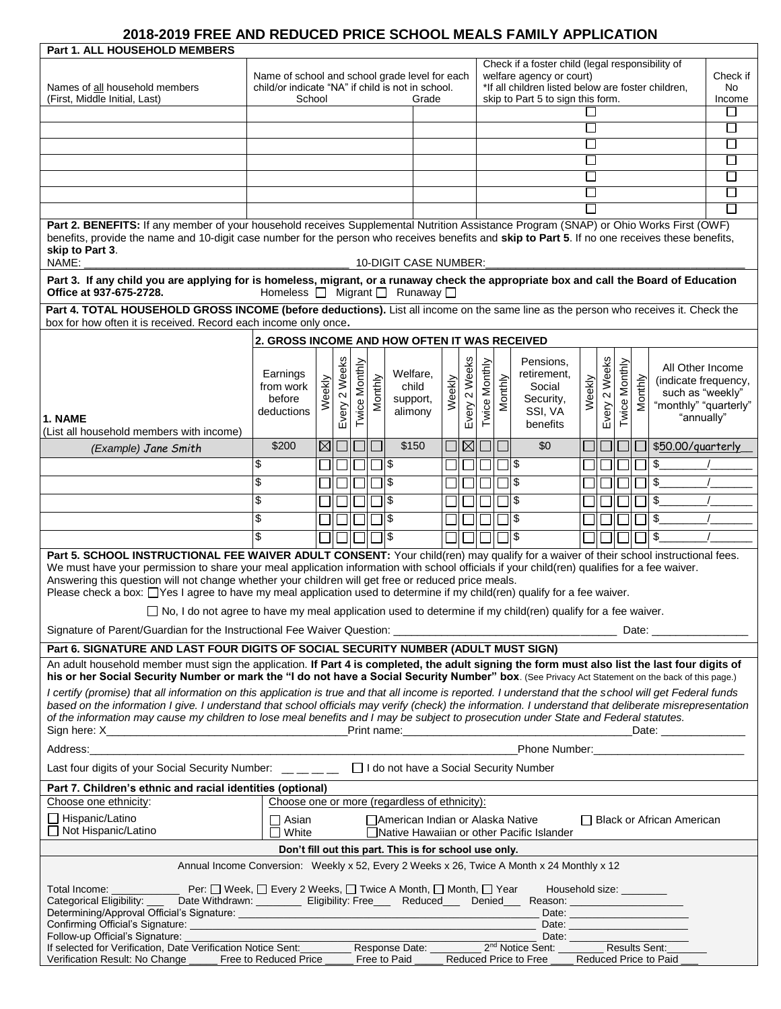### **2018-2019 FREE AND REDUCED PRICE SCHOOL MEALS FAMILY APPLICATION**

| <b>Part 1. ALL HOUSEHOLD MEMBERS</b>                                                                                                                                                                                                                                                                                                                                                                                                                                                                                    |                                                   |             |               |               |         |                                    |       |               |               |         |                                                                              |              |                     |         |         |                                          |          |
|-------------------------------------------------------------------------------------------------------------------------------------------------------------------------------------------------------------------------------------------------------------------------------------------------------------------------------------------------------------------------------------------------------------------------------------------------------------------------------------------------------------------------|---------------------------------------------------|-------------|---------------|---------------|---------|------------------------------------|-------|---------------|---------------|---------|------------------------------------------------------------------------------|--------------|---------------------|---------|---------|------------------------------------------|----------|
|                                                                                                                                                                                                                                                                                                                                                                                                                                                                                                                         | Name of school and school grade level for each    |             |               |               |         |                                    |       |               |               |         | Check if a foster child (legal responsibility of<br>welfare agency or court) |              |                     |         |         |                                          | Check if |
| Names of all household members                                                                                                                                                                                                                                                                                                                                                                                                                                                                                          | child/or indicate "NA" if child is not in school. |             |               |               |         |                                    |       |               |               |         | *If all children listed below are foster children,                           |              |                     |         |         |                                          | No.      |
| (First, Middle Initial, Last)                                                                                                                                                                                                                                                                                                                                                                                                                                                                                           | School                                            |             |               |               |         | Grade                              |       |               |               |         | skip to Part 5 to sign this form.                                            |              |                     |         |         |                                          | Income   |
|                                                                                                                                                                                                                                                                                                                                                                                                                                                                                                                         |                                                   |             |               |               |         |                                    |       |               |               |         |                                                                              |              |                     |         |         |                                          | $\Box$   |
|                                                                                                                                                                                                                                                                                                                                                                                                                                                                                                                         |                                                   |             |               |               |         |                                    |       |               |               |         |                                                                              | $\Box$       |                     |         |         |                                          | П        |
|                                                                                                                                                                                                                                                                                                                                                                                                                                                                                                                         |                                                   |             |               |               |         |                                    |       |               |               |         |                                                                              | $\Box$       |                     |         |         |                                          | $\Box$   |
|                                                                                                                                                                                                                                                                                                                                                                                                                                                                                                                         |                                                   |             |               |               |         |                                    |       |               |               |         |                                                                              |              |                     |         |         |                                          |          |
|                                                                                                                                                                                                                                                                                                                                                                                                                                                                                                                         |                                                   |             |               |               |         |                                    |       |               |               |         |                                                                              | $\mathbf{I}$ |                     |         |         |                                          | П        |
| П                                                                                                                                                                                                                                                                                                                                                                                                                                                                                                                       |                                                   |             |               |               |         |                                    |       |               |               |         |                                                                              |              |                     |         |         |                                          |          |
| Part 2. BENEFITS: If any member of your household receives Supplemental Nutrition Assistance Program (SNAP) or Ohio Works First (OWF)<br>benefits, provide the name and 10-digit case number for the person who receives benefits and skip to Part 5. If no one receives these benefits,<br>skip to Part 3.                                                                                                                                                                                                             |                                                   |             |               |               |         |                                    |       |               |               |         |                                                                              |              |                     |         |         |                                          |          |
| NAME:<br>10-DIGIT CASE NUMBER:                                                                                                                                                                                                                                                                                                                                                                                                                                                                                          |                                                   |             |               |               |         |                                    |       |               |               |         |                                                                              |              |                     |         |         |                                          |          |
| Part 3. If any child you are applying for is homeless, migrant, or a runaway check the appropriate box and call the Board of Education<br>Homeless $\Box$ Migrant $\Box$ Runaway $\Box$<br>Office at 937-675-2728.                                                                                                                                                                                                                                                                                                      |                                                   |             |               |               |         |                                    |       |               |               |         |                                                                              |              |                     |         |         |                                          |          |
| Part 4. TOTAL HOUSEHOLD GROSS INCOME (before deductions). List all income on the same line as the person who receives it. Check the                                                                                                                                                                                                                                                                                                                                                                                     |                                                   |             |               |               |         |                                    |       |               |               |         |                                                                              |              |                     |         |         |                                          |          |
| box for how often it is received. Record each income only once.<br>2. GROSS INCOME AND HOW OFTEN IT WAS RECEIVED                                                                                                                                                                                                                                                                                                                                                                                                        |                                                   |             |               |               |         |                                    |       |               |               |         |                                                                              |              |                     |         |         |                                          |          |
|                                                                                                                                                                                                                                                                                                                                                                                                                                                                                                                         |                                                   |             |               |               |         |                                    |       |               |               |         |                                                                              |              |                     |         |         |                                          |          |
|                                                                                                                                                                                                                                                                                                                                                                                                                                                                                                                         | Earnings                                          |             | Every 2 Weeks | Twice Monthly |         | Welfare,                           |       | Every 2 Weeks | Twice Monthly |         | Pensions,<br>retirement,                                                     |              | Weeks               | Monthly |         | All Other Income                         |          |
|                                                                                                                                                                                                                                                                                                                                                                                                                                                                                                                         | from work                                         | Weekly      |               |               | Monthly | child                              | eekly |               |               | Monthly | Social                                                                       | Weekly       |                     |         | Monthly | (indicate frequency,<br>such as "weekly" |          |
|                                                                                                                                                                                                                                                                                                                                                                                                                                                                                                                         | before                                            |             |               |               |         | support,                           | Š     |               |               |         | Security,                                                                    |              | $\boldsymbol{\sim}$ |         |         | "monthly" "quarterly"                    |          |
| 1. NAME                                                                                                                                                                                                                                                                                                                                                                                                                                                                                                                 | deductions                                        |             |               |               |         | alimony                            |       |               |               |         | SSI, VA<br>benefits                                                          |              | Every               | Twice   |         | "annually"                               |          |
| (List all household members with income)                                                                                                                                                                                                                                                                                                                                                                                                                                                                                |                                                   | $\boxtimes$ |               |               |         | \$150                              |       | $\boxtimes$   |               |         | \$0                                                                          |              |                     |         |         |                                          |          |
| (Example) Jane Smith                                                                                                                                                                                                                                                                                                                                                                                                                                                                                                    | \$200                                             |             |               |               |         |                                    |       |               |               |         |                                                                              |              |                     |         |         | \$50.00/quarterly                        |          |
|                                                                                                                                                                                                                                                                                                                                                                                                                                                                                                                         | \$                                                |             |               |               | $\Box$  |                                    |       |               |               |         | ll \$                                                                        |              |                     |         |         | $\frac{1}{2}$                            |          |
|                                                                                                                                                                                                                                                                                                                                                                                                                                                                                                                         | \$                                                |             |               |               |         | ่ 1l\$                             |       |               |               |         | ∥\$                                                                          |              |                     |         |         | \$                                       |          |
|                                                                                                                                                                                                                                                                                                                                                                                                                                                                                                                         | \$                                                |             |               |               |         | าเ\$                               |       |               |               |         | ∥\$                                                                          |              |                     |         |         | \$                                       |          |
|                                                                                                                                                                                                                                                                                                                                                                                                                                                                                                                         | \$                                                |             |               |               |         | 11\$                               |       |               |               |         | Ι\$                                                                          |              |                     |         |         | \$                                       |          |
|                                                                                                                                                                                                                                                                                                                                                                                                                                                                                                                         | \$                                                |             |               |               |         | ll \$                              |       |               |               |         | ∥\$                                                                          |              |                     |         |         | \$                                       |          |
| Part 5. SCHOOL INSTRUCTIONAL FEE WAIVER ADULT CONSENT: Your child(ren) may qualify for a waiver of their school instructional fees.<br>We must have your permission to share your meal application information with school officials if your child(ren) qualifies for a fee waiver.<br>Answering this question will not change whether your children will get free or reduced price meals.<br>Please check a box: □Yes I agree to have my meal application used to determine if my child(ren) qualify for a fee waiver. |                                                   |             |               |               |         |                                    |       |               |               |         |                                                                              |              |                     |         |         |                                          |          |
| $\Box$ No, I do not agree to have my meal application used to determine if my child(ren) qualify for a fee waiver.                                                                                                                                                                                                                                                                                                                                                                                                      |                                                   |             |               |               |         |                                    |       |               |               |         |                                                                              |              |                     |         |         |                                          |          |
| Date: __________________                                                                                                                                                                                                                                                                                                                                                                                                                                                                                                |                                                   |             |               |               |         |                                    |       |               |               |         |                                                                              |              |                     |         |         |                                          |          |
| Part 6. SIGNATURE AND LAST FOUR DIGITS OF SOCIAL SECURITY NUMBER (ADULT MUST SIGN)                                                                                                                                                                                                                                                                                                                                                                                                                                      |                                                   |             |               |               |         |                                    |       |               |               |         |                                                                              |              |                     |         |         |                                          |          |
| An adult household member must sign the application. If Part 4 is completed, the adult signing the form must also list the last four digits of<br>his or her Social Security Number or mark the "I do not have a Social Security Number" box. (See Privacy Act Statement on the back of this page.)                                                                                                                                                                                                                     |                                                   |             |               |               |         |                                    |       |               |               |         |                                                                              |              |                     |         |         |                                          |          |
| I certify (promise) that all information on this application is true and that all income is reported. I understand that the school will get Federal funds                                                                                                                                                                                                                                                                                                                                                               |                                                   |             |               |               |         |                                    |       |               |               |         |                                                                              |              |                     |         |         |                                          |          |
| based on the information I give. I understand that school officials may verify (check) the information. I understand that deliberate misrepresentation<br>of the information may cause my children to lose meal benefits and I may be subject to prosecution under State and Federal statutes.                                                                                                                                                                                                                          |                                                   |             |               |               |         |                                    |       |               |               |         |                                                                              |              |                     |         |         |                                          |          |
| Address:<br>Phone Number: _______________________________                                                                                                                                                                                                                                                                                                                                                                                                                                                               |                                                   |             |               |               |         |                                    |       |               |               |         |                                                                              |              |                     |         |         |                                          |          |
| Last four digits of your Social Security Number: _ _ _ _ _ _ _ _ D I do not have a Social Security Number                                                                                                                                                                                                                                                                                                                                                                                                               |                                                   |             |               |               |         |                                    |       |               |               |         |                                                                              |              |                     |         |         |                                          |          |
| Part 7. Children's ethnic and racial identities (optional)                                                                                                                                                                                                                                                                                                                                                                                                                                                              |                                                   |             |               |               |         |                                    |       |               |               |         |                                                                              |              |                     |         |         |                                          |          |
| Choose one or more (regardless of ethnicity):<br>Choose one ethnicity:                                                                                                                                                                                                                                                                                                                                                                                                                                                  |                                                   |             |               |               |         |                                    |       |               |               |         |                                                                              |              |                     |         |         |                                          |          |
| □ Hispanic/Latino<br>Not Hispanic/Latino                                                                                                                                                                                                                                                                                                                                                                                                                                                                                | $\Box$ Asian<br>$\square$ White                   |             |               |               |         | □ American Indian or Alaska Native |       |               |               |         | □ Native Hawaiian or other Pacific Islander                                  |              |                     |         |         | □ Black or African American              |          |
| Don't fill out this part. This is for school use only.                                                                                                                                                                                                                                                                                                                                                                                                                                                                  |                                                   |             |               |               |         |                                    |       |               |               |         |                                                                              |              |                     |         |         |                                          |          |
| Annual Income Conversion: Weekly x 52, Every 2 Weeks x 26, Twice A Month x 24 Monthly x 12                                                                                                                                                                                                                                                                                                                                                                                                                              |                                                   |             |               |               |         |                                    |       |               |               |         |                                                                              |              |                     |         |         |                                          |          |
| Total Income:<br>Household size: <u>_________</u><br>Categorical Eligibility: ____ Date Withdrawn: _________ Eligibility: Free___ Reduced___ Denied___ Reason: ___________________                                                                                                                                                                                                                                                                                                                                      |                                                   |             |               |               |         |                                    |       |               |               |         |                                                                              |              |                     |         |         |                                          |          |
| Follow-up Official's Signature:<br>If selected for Verification, Date Verification Notice Sent:                                                                                                                                                                                                                                                                                                                                                                                                                         |                                                   |             |               |               |         |                                    |       |               |               |         | Response Date: 2 <sup>nd</sup> Notice Sent: Results Sent:                    |              |                     |         |         |                                          |          |
| Verification Result: No Change ______ Free to Reduced Price ____                                                                                                                                                                                                                                                                                                                                                                                                                                                        |                                                   |             |               |               |         | Free to Paid                       |       |               |               |         | Reduced Price to Free                                                        |              |                     |         |         | Reduced Price to Paid                    |          |